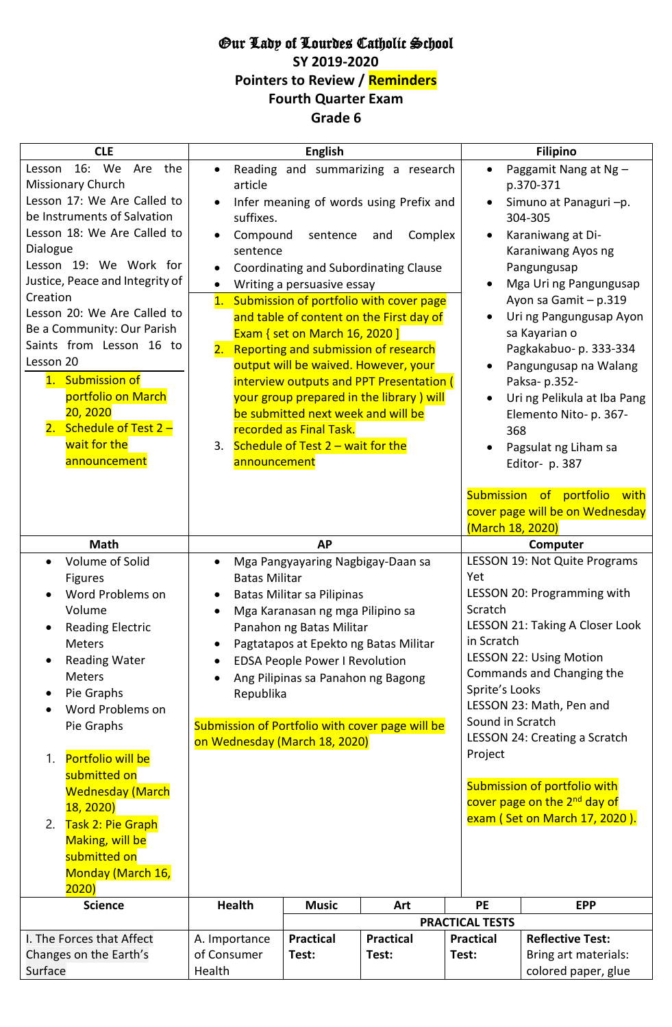## Our Lady of Lourdes Catholic School **SY 2019-2020 Pointers to Review / Reminders**

**Fourth Quarter Exam**

## **Grade 6**

| <b>CLE</b>                        |                                                 | <b>English</b>                          |                                          |                                          | <b>Filipino</b>                                                    |  |  |
|-----------------------------------|-------------------------------------------------|-----------------------------------------|------------------------------------------|------------------------------------------|--------------------------------------------------------------------|--|--|
| 16: We<br>the<br>Are<br>Lesson    | Reading and summarizing a research              |                                         |                                          | $\bullet$                                | Paggamit Nang at Ng -                                              |  |  |
| Missionary Church                 | article                                         |                                         |                                          | p.370-371                                |                                                                    |  |  |
| Lesson 17: We Are Called to       |                                                 | Infer meaning of words using Prefix and |                                          | Simuno at Panaguri-p.                    |                                                                    |  |  |
| be Instruments of Salvation       | suffixes.                                       |                                         |                                          |                                          | 304-305                                                            |  |  |
| Lesson 18: We Are Called to       | Compound                                        | sentence                                | Complex<br>and                           |                                          | Karaniwang at Di-                                                  |  |  |
| Dialogue                          | sentence                                        |                                         |                                          | Karaniwang Ayos ng                       |                                                                    |  |  |
| Lesson 19: We Work for            |                                                 | Coordinating and Subordinating Clause   |                                          | Pangungusap                              |                                                                    |  |  |
| Justice, Peace and Integrity of   |                                                 | Writing a persuasive essay              |                                          | Mga Uri ng Pangungusap                   |                                                                    |  |  |
| Creation                          | 1.                                              |                                         | Submission of portfolio with cover page  |                                          | Ayon sa Gamit - p.319                                              |  |  |
| Lesson 20: We Are Called to       |                                                 |                                         | and table of content on the First day of |                                          | Uri ng Pangungusap Ayon                                            |  |  |
| Be a Community: Our Parish        |                                                 | Exam { set on March 16, 2020 ]          |                                          |                                          | sa Kayarian o                                                      |  |  |
| Saints from Lesson 16 to          |                                                 |                                         | 2. Reporting and submission of research  |                                          | Pagkakabuo- p. 333-334                                             |  |  |
| Lesson 20                         |                                                 | output will be waived. However, your    |                                          |                                          | Pangungusap na Walang                                              |  |  |
| 1. Submission of                  |                                                 |                                         | interview outputs and PPT Presentation ( |                                          | Paksa-p.352-                                                       |  |  |
| portfolio on March                |                                                 |                                         | your group prepared in the library) will |                                          | Uri ng Pelikula at Iba Pang                                        |  |  |
| 20, 2020                          |                                                 | be submitted next week and will be      |                                          |                                          | Elemento Nito- p. 367-                                             |  |  |
| 2. Schedule of Test $2 -$         |                                                 | recorded as Final Task.                 |                                          | 368                                      |                                                                    |  |  |
| wait for the                      |                                                 | 3. Schedule of Test 2 - wait for the    |                                          | Pagsulat ng Liham sa                     |                                                                    |  |  |
| announcement                      | announcement                                    |                                         |                                          |                                          | Editor-p. 387                                                      |  |  |
|                                   |                                                 |                                         |                                          | (March 18, 2020)                         | Submission of portfolio<br>with<br>cover page will be on Wednesday |  |  |
| <b>Math</b>                       |                                                 | <b>AP</b>                               |                                          | Computer                                 |                                                                    |  |  |
| Volume of Solid                   |                                                 | Mga Pangyayaring Nagbigay-Daan sa       |                                          | LESSON 19: Not Quite Programs            |                                                                    |  |  |
| <b>Figures</b>                    | <b>Batas Militar</b>                            |                                         | Yet                                      |                                          |                                                                    |  |  |
| Word Problems on                  |                                                 | <b>Batas Militar sa Pilipinas</b>       |                                          | LESSON 20: Programming with              |                                                                    |  |  |
| Volume                            |                                                 | Mga Karanasan ng mga Pilipino sa        | Scratch                                  |                                          |                                                                    |  |  |
| <b>Reading Electric</b>           |                                                 | Panahon ng Batas Militar                |                                          | LESSON 21: Taking A Closer Look          |                                                                    |  |  |
| Meters                            | ٠                                               | Pagtatapos at Epekto ng Batas Militar   |                                          | in Scratch                               |                                                                    |  |  |
| <b>Reading Water</b>              |                                                 | <b>EDSA People Power I Revolution</b>   |                                          | <b>LESSON 22: Using Motion</b>           |                                                                    |  |  |
| <b>Meters</b>                     | $\bullet$                                       | Ang Pilipinas sa Panahon ng Bagong      |                                          | Commands and Changing the                |                                                                    |  |  |
| Pie Graphs<br>$\bullet$           | Republika                                       |                                         |                                          | Sprite's Looks                           |                                                                    |  |  |
| Word Problems on                  |                                                 |                                         |                                          | LESSON 23: Math, Pen and                 |                                                                    |  |  |
| Pie Graphs                        | Submission of Portfolio with cover page will be |                                         |                                          | Sound in Scratch                         |                                                                    |  |  |
|                                   | on Wednesday (March 18, 2020)                   |                                         |                                          | LESSON 24: Creating a Scratch            |                                                                    |  |  |
| Portfolio will be<br>1.           |                                                 |                                         |                                          | Project                                  |                                                                    |  |  |
| submitted on                      |                                                 |                                         |                                          |                                          |                                                                    |  |  |
| <b>Wednesday (March</b>           |                                                 |                                         |                                          | Submission of portfolio with             |                                                                    |  |  |
| 18, 2020                          |                                                 |                                         |                                          | cover page on the 2 <sup>nd</sup> day of |                                                                    |  |  |
| Task 2: Pie Graph<br>2.           |                                                 |                                         |                                          | exam (Set on March 17, 2020).            |                                                                    |  |  |
| <b>Making, will be</b>            |                                                 |                                         |                                          |                                          |                                                                    |  |  |
| submitted on                      |                                                 |                                         |                                          |                                          |                                                                    |  |  |
| Monday (March 16,                 |                                                 |                                         |                                          |                                          |                                                                    |  |  |
| 2020)                             |                                                 |                                         |                                          |                                          |                                                                    |  |  |
| <b>Science</b>                    | <b>Health</b>                                   | <b>Music</b>                            | Art                                      | <b>PE</b>                                | <b>EPP</b>                                                         |  |  |
|                                   |                                                 |                                         |                                          | <b>PRACTICAL TESTS</b>                   |                                                                    |  |  |
| I. The Forces that Affect         | A. Importance                                   | <b>Practical</b>                        | <b>Practical</b>                         | <b>Practical</b>                         | <b>Reflective Test:</b>                                            |  |  |
| Changes on the Earth's<br>Surface | of Consumer                                     | Test:                                   | Test:                                    | Test:                                    | Bring art materials:<br>colored paper, glue                        |  |  |
|                                   | Health                                          |                                         |                                          |                                          |                                                                    |  |  |